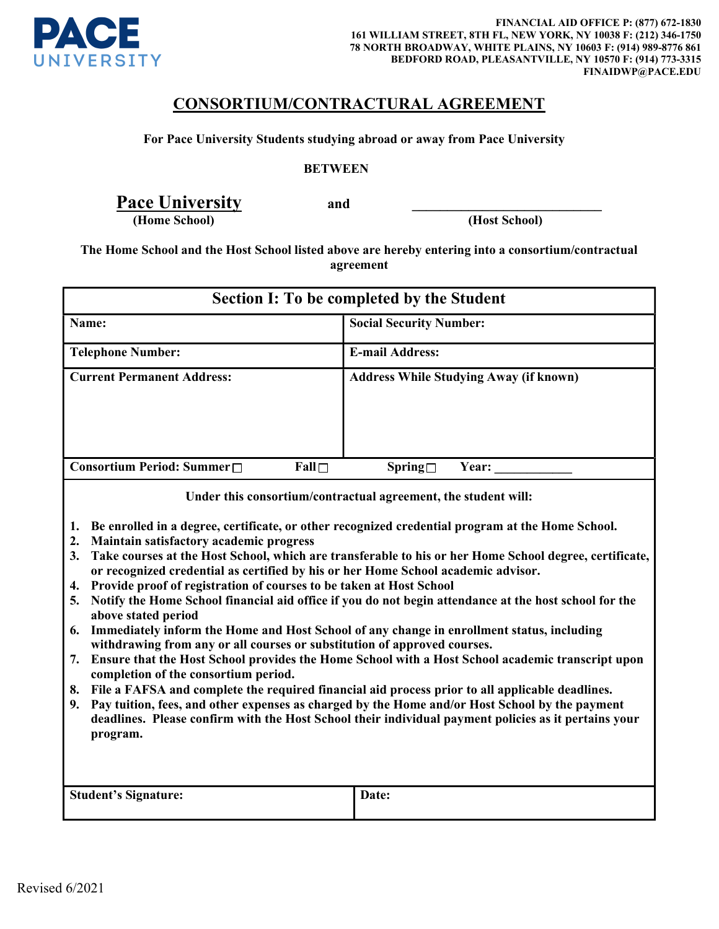

## CONSORTIUM/CONTRACTURAL AGREEMENT

For Pace University Students studying abroad or away from Pace University

## **BETWEEN**

Pace University and

(Home School) (Host School)

The Home School and the Host School listed above are hereby entering into a consortium/contractual agreement

| <b>Section I: To be completed by the Student</b> |             |                                               |
|--------------------------------------------------|-------------|-----------------------------------------------|
| Name:                                            |             | <b>Social Security Number:</b>                |
| <b>Telephone Number:</b>                         |             | <b>E-mail Address:</b>                        |
| <b>Current Permanent Address:</b>                |             | <b>Address While Studying Away (if known)</b> |
| Consortium Period: Summer□                       | $Fall \Box$ | ${\rm Spring} \square$<br><b>Year:</b>        |

Under this consortium/contractual agreement, the student will:

- **1.** Be enrolled in a degree, certificate, or other recognized credential program at the Home School.
- **2.** Maintain satisfactory academic progress
- **3.** Take courses at the Host School, which are transferable to his or her Home School degree, certificate, or recognized credential as certified by his or her Home School academic advisor.
- **4.** Provide proof of registration of courses to be taken at Host School
- **5.** Notify the Home School financial aid office if you do not begin attendance at the host school for the above stated period
- **6.** Immediately inform the Home and Host School of any change in enrollment status, including withdrawing from any or all courses or substitution of approved courses.
- **7.** Ensure that the Host School provides the Home School with a Host School academic transcript upon completion of the consortium period.
- **8.** File a FAFSA and complete the required financial aid process prior to all applicable deadlines.
- **9.** Pay tuition, fees, and other expenses as charged by the Home and/or Host School by the payment deadlines. Please confirm with the Host School their individual payment policies as it pertains your program.

| <b>Student's Signature:</b> | Date: |
|-----------------------------|-------|
|                             |       |